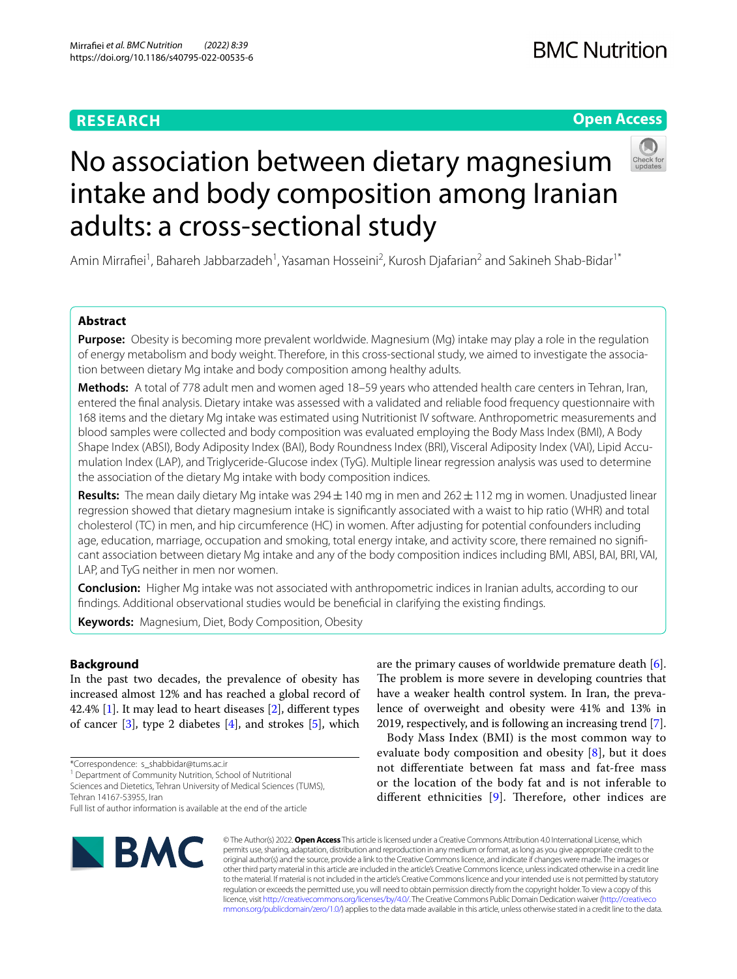# **RESEARCH**

# **Open Access**



# No association between dietary magnesium intake and body composition among Iranian adults: a cross-sectional study

Amin Mirrafiei<sup>1</sup>, Bahareh Jabbarzadeh<sup>1</sup>, Yasaman Hosseini<sup>2</sup>, Kurosh Djafarian<sup>2</sup> and Sakineh Shab-Bidar<sup>1\*</sup>

# **Abstract**

**Purpose:** Obesity is becoming more prevalent worldwide. Magnesium (Mg) intake may play a role in the regulation of energy metabolism and body weight. Therefore, in this cross-sectional study, we aimed to investigate the association between dietary Mg intake and body composition among healthy adults.

**Methods:** A total of 778 adult men and women aged 18–59 years who attended health care centers in Tehran, Iran, entered the fnal analysis. Dietary intake was assessed with a validated and reliable food frequency questionnaire with 168 items and the dietary Mg intake was estimated using Nutritionist IV software. Anthropometric measurements and blood samples were collected and body composition was evaluated employing the Body Mass Index (BMI), A Body Shape Index (ABSI), Body Adiposity Index (BAI), Body Roundness Index (BRI), Visceral Adiposity Index (VAI), Lipid Accumulation Index (LAP), and Triglyceride-Glucose index (TyG). Multiple linear regression analysis was used to determine the association of the dietary Mg intake with body composition indices.

**Results:** The mean daily dietary Mg intake was 294 ± 140 mg in men and 262 ± 112 mg in women. Unadjusted linear regression showed that dietary magnesium intake is signifcantly associated with a waist to hip ratio (WHR) and total cholesterol (TC) in men, and hip circumference (HC) in women. After adjusting for potential confounders including age, education, marriage, occupation and smoking, total energy intake, and activity score, there remained no significant association between dietary Mg intake and any of the body composition indices including BMI, ABSI, BAI, BRI, VAI, LAP, and TyG neither in men nor women.

**Conclusion:** Higher Mg intake was not associated with anthropometric indices in Iranian adults, according to our fndings. Additional observational studies would be benefcial in clarifying the existing fndings.

**Keywords:** Magnesium, Diet, Body Composition, Obesity

# **Background**

In the past two decades, the prevalence of obesity has increased almost 12% and has reached a global record of 42.4% [[1\]](#page-8-0). It may lead to heart diseases [\[2](#page-8-1)], diferent types of cancer  $[3]$  $[3]$ , type 2 diabetes  $[4]$  $[4]$  $[4]$ , and strokes  $[5]$  $[5]$ , which

\*Correspondence: s\_shabbidar@tums.ac.ir

<sup>1</sup> Department of Community Nutrition, School of Nutritional

Sciences and Dietetics, Tehran University of Medical Sciences (TUMS), Tehran 14167‑53955, Iran

Full list of author information is available at the end of the article



are the primary causes of worldwide premature death [\[6](#page-8-5)]. The problem is more severe in developing countries that have a weaker health control system. In Iran, the prevalence of overweight and obesity were 41% and 13% in 2019, respectively, and is following an increasing trend [\[7](#page-8-6)].

Body Mass Index (BMI) is the most common way to evaluate body composition and obesity  $[8]$  $[8]$ , but it does not diferentiate between fat mass and fat-free mass or the location of the body fat and is not inferable to different ethnicities  $[9]$ . Therefore, other indices are

© The Author(s) 2022. **Open Access** This article is licensed under a Creative Commons Attribution 4.0 International License, which permits use, sharing, adaptation, distribution and reproduction in any medium or format, as long as you give appropriate credit to the original author(s) and the source, provide a link to the Creative Commons licence, and indicate if changes were made. The images or other third party material in this article are included in the article's Creative Commons licence, unless indicated otherwise in a credit line to the material. If material is not included in the article's Creative Commons licence and your intended use is not permitted by statutory regulation or exceeds the permitted use, you will need to obtain permission directly from the copyright holder. To view a copy of this licence, visit [http://creativecommons.org/licenses/by/4.0/.](http://creativecommons.org/licenses/by/4.0/) The Creative Commons Public Domain Dedication waiver ([http://creativeco](http://creativecommons.org/publicdomain/zero/1.0/) [mmons.org/publicdomain/zero/1.0/](http://creativecommons.org/publicdomain/zero/1.0/)) applies to the data made available in this article, unless otherwise stated in a credit line to the data.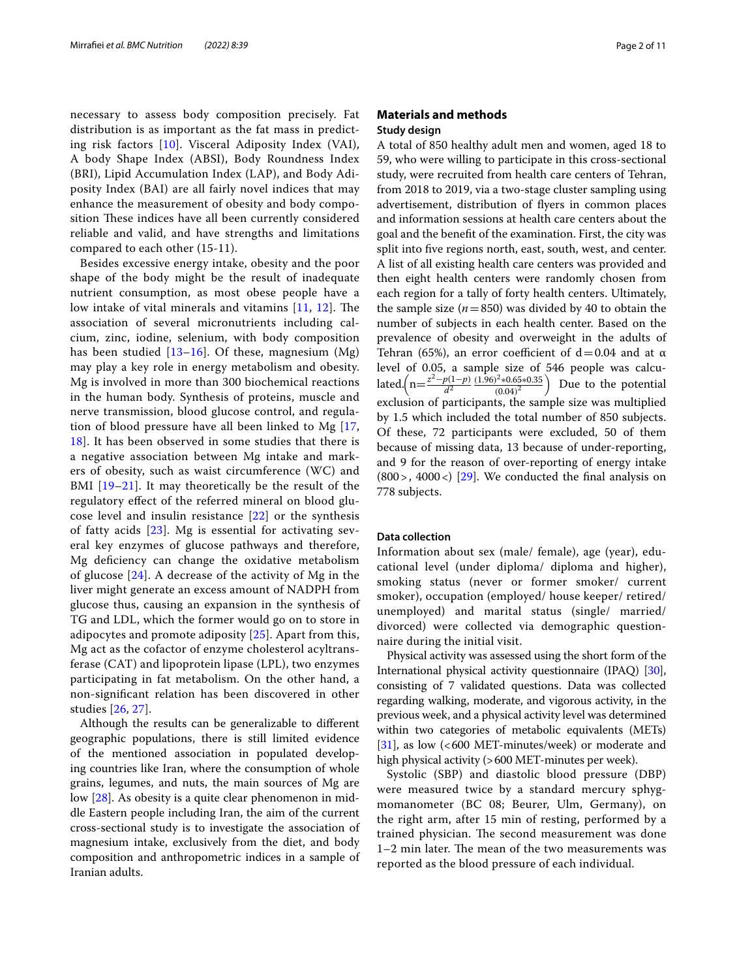necessary to assess body composition precisely. Fat distribution is as important as the fat mass in predicting risk factors [[10\]](#page-9-2). Visceral Adiposity Index (VAI), A body Shape Index (ABSI), Body Roundness Index (BRI), Lipid Accumulation Index (LAP), and Body Adiposity Index (BAI) are all fairly novel indices that may enhance the measurement of obesity and body composition These indices have all been currently considered reliable and valid, and have strengths and limitations compared to each other (15-11).

Besides excessive energy intake, obesity and the poor shape of the body might be the result of inadequate nutrient consumption, as most obese people have a low intake of vital minerals and vitamins  $[11, 12]$  $[11, 12]$  $[11, 12]$  $[11, 12]$ . The association of several micronutrients including calcium, zinc, iodine, selenium, with body composition has been studied  $[13–16]$  $[13–16]$  $[13–16]$  $[13–16]$ . Of these, magnesium  $(Mg)$ may play a key role in energy metabolism and obesity. Mg is involved in more than 300 biochemical reactions in the human body. Synthesis of proteins, muscle and nerve transmission, blood glucose control, and regulation of blood pressure have all been linked to Mg [\[17](#page-9-7), [18\]](#page-9-8). It has been observed in some studies that there is a negative association between Mg intake and markers of obesity, such as waist circumference (WC) and BMI [[19–](#page-9-9)[21\]](#page-9-10). It may theoretically be the result of the regulatory efect of the referred mineral on blood glucose level and insulin resistance [\[22](#page-9-11)] or the synthesis of fatty acids [[23\]](#page-9-12). Mg is essential for activating several key enzymes of glucose pathways and therefore, Mg defciency can change the oxidative metabolism of glucose  $[24]$  $[24]$  $[24]$ . A decrease of the activity of Mg in the liver might generate an excess amount of NADPH from glucose thus, causing an expansion in the synthesis of TG and LDL, which the former would go on to store in adipocytes and promote adiposity [[25\]](#page-9-14). Apart from this, Mg act as the cofactor of enzyme cholesterol acyltransferase (CAT) and lipoprotein lipase (LPL), two enzymes participating in fat metabolism. On the other hand, a non-signifcant relation has been discovered in other studies [[26](#page-9-15), [27](#page-9-16)].

Although the results can be generalizable to diferent geographic populations, there is still limited evidence of the mentioned association in populated developing countries like Iran, where the consumption of whole grains, legumes, and nuts, the main sources of Mg are low [\[28](#page-9-17)]. As obesity is a quite clear phenomenon in middle Eastern people including Iran, the aim of the current cross-sectional study is to investigate the association of magnesium intake, exclusively from the diet, and body composition and anthropometric indices in a sample of Iranian adults.

# **Materials and methods Study design**

A total of 850 healthy adult men and women, aged 18 to 59, who were willing to participate in this cross-sectional study, were recruited from health care centers of Tehran, from 2018 to 2019, via a two-stage cluster sampling using advertisement, distribution of fyers in common places and information sessions at health care centers about the goal and the beneft of the examination. First, the city was split into fve regions north, east, south, west, and center. A list of all existing health care centers was provided and then eight health centers were randomly chosen from each region for a tally of forty health centers. Ultimately, the sample size  $(n=850)$  was divided by 40 to obtain the number of subjects in each health center. Based on the prevalence of obesity and overweight in the adults of Tehran (65%), an error coefficient of  $d=0.04$  and at  $\alpha$ level of 0.05, a sample size of 546 people was calculated. $\left(n=\frac{z^2-p(1-p)}{d^2}\frac{(1.96)^2*0.65*0.35}{(0.04)^2}\right)$  Due to the potential exclusion of participants, the sample size was multiplied by 1.5 which included the total number of 850 subjects. Of these, 72 participants were excluded, 50 of them because of missing data, 13 because of under-reporting, and 9 for the reason of over-reporting of energy intake  $(800)$ , 4000 <) [\[29](#page-9-18)]. We conducted the final analysis on 778 subjects.

## **Data collection**

Information about sex (male/ female), age (year), educational level (under diploma/ diploma and higher), smoking status (never or former smoker/ current smoker), occupation (employed/ house keeper/ retired/ unemployed) and marital status (single/ married/ divorced) were collected via demographic questionnaire during the initial visit.

Physical activity was assessed using the short form of the International physical activity questionnaire (IPAQ) [[30](#page-9-19)], consisting of 7 validated questions. Data was collected regarding walking, moderate, and vigorous activity, in the previous week, and a physical activity level was determined within two categories of metabolic equivalents (METs) [[31](#page-9-20)], as low  $\left( < 600$  MET-minutes/week) or moderate and high physical activity (>600 MET-minutes per week).

Systolic (SBP) and diastolic blood pressure (DBP) were measured twice by a standard mercury sphygmomanometer (BC 08; Beurer, Ulm, Germany), on the right arm, after 15 min of resting, performed by a trained physician. The second measurement was done 1-2 min later. The mean of the two measurements was reported as the blood pressure of each individual.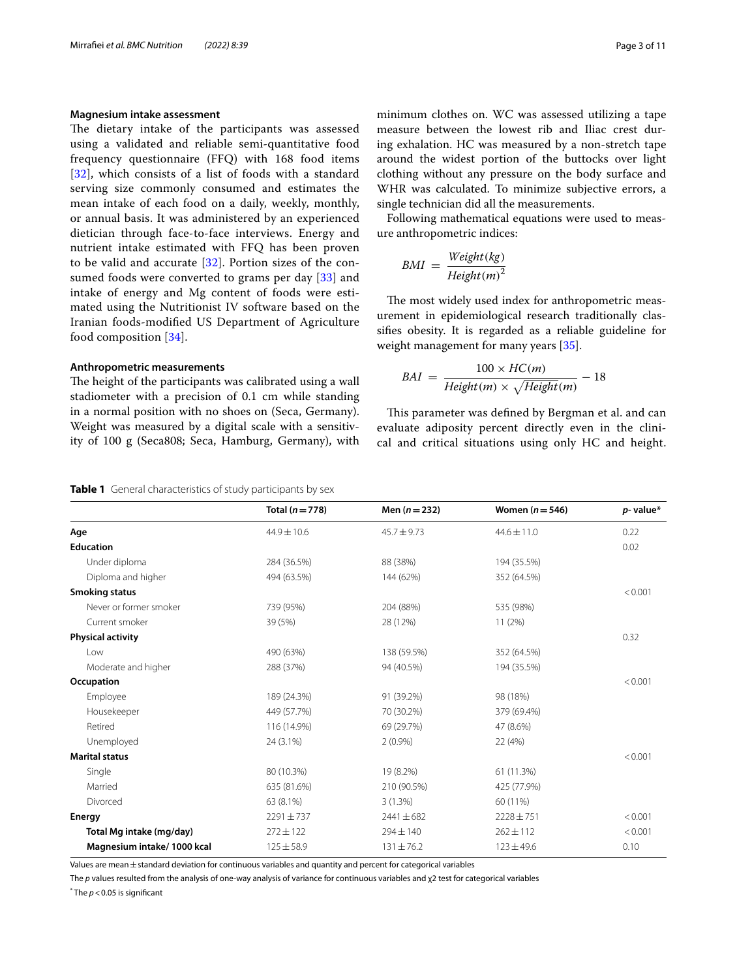# **Magnesium intake assessment**

The dietary intake of the participants was assessed using a validated and reliable semi-quantitative food frequency questionnaire (FFQ) with 168 food items [[32](#page-9-21)], which consists of a list of foods with a standard serving size commonly consumed and estimates the mean intake of each food on a daily, weekly, monthly, or annual basis. It was administered by an experienced dietician through face-to-face interviews. Energy and nutrient intake estimated with FFQ has been proven to be valid and accurate [\[32](#page-9-21)]. Portion sizes of the consumed foods were converted to grams per day [[33\]](#page-9-22) and intake of energy and Mg content of foods were estimated using the Nutritionist IV software based on the Iranian foods-modifed US Department of Agriculture food composition [\[34](#page-9-23)].

## **Anthropometric measurements**

The height of the participants was calibrated using a wall stadiometer with a precision of 0.1 cm while standing in a normal position with no shoes on (Seca, Germany). Weight was measured by a digital scale with a sensitivity of 100 g (Seca808; Seca, Hamburg, Germany), with minimum clothes on. WC was assessed utilizing a tape measure between the lowest rib and Iliac crest during exhalation. HC was measured by a non-stretch tape around the widest portion of the buttocks over light clothing without any pressure on the body surface and WHR was calculated. To minimize subjective errors, a single technician did all the measurements.

Following mathematical equations were used to measure anthropometric indices:

$$
BMI = \frac{Weight(kg)}{Height(m)^2}
$$

The most widely used index for anthropometric measurement in epidemiological research traditionally classifes obesity. It is regarded as a reliable guideline for weight management for many years [\[35](#page-9-24)].

$$
BAI = \frac{100 \times HC(m)}{Height(m) \times \sqrt{Height(m)}} - 18
$$

This parameter was defined by Bergman et al. and can evaluate adiposity percent directly even in the clinical and critical situations using only HC and height.

<span id="page-2-0"></span>

| Table 1 General characteristics of study participants by sex |  |  |
|--------------------------------------------------------------|--|--|

|                            | Total $(n=778)$ | Men $(n = 232)$ | Women $(n=546)$ | $p$ - value* |
|----------------------------|-----------------|-----------------|-----------------|--------------|
| Age                        | $44.9 \pm 10.6$ | $45.7 \pm 9.73$ | $44.6 \pm 11.0$ | 0.22         |
| <b>Education</b>           |                 |                 |                 | 0.02         |
| Under diploma              | 284 (36.5%)     | 88 (38%)        | 194 (35.5%)     |              |
| Diploma and higher         | 494 (63.5%)     | 144 (62%)       | 352 (64.5%)     |              |
| Smoking status             |                 |                 |                 | < 0.001      |
| Never or former smoker     | 739 (95%)       | 204 (88%)       | 535 (98%)       |              |
| Current smoker             | 39 (5%)         | 28 (12%)        | 11(2%)          |              |
| <b>Physical activity</b>   |                 |                 |                 | 0.32         |
| Low                        | 490 (63%)       | 138 (59.5%)     | 352 (64.5%)     |              |
| Moderate and higher        | 288 (37%)       | 94 (40.5%)      | 194 (35.5%)     |              |
| Occupation                 |                 |                 |                 | < 0.001      |
| Employee                   | 189 (24.3%)     | 91 (39.2%)      | 98 (18%)        |              |
| Housekeeper                | 449 (57.7%)     | 70 (30.2%)      | 379 (69.4%)     |              |
| Retired                    | 116 (14.9%)     | 69 (29.7%)      | 47 (8.6%)       |              |
| Unemployed                 | 24 (3.1%)       | $2(0.9\%)$      | 22 (4%)         |              |
| <b>Marital status</b>      |                 |                 |                 | < 0.001      |
| Single                     | 80 (10.3%)      | 19 (8.2%)       | 61 (11.3%)      |              |
| Married                    | 635 (81.6%)     | 210 (90.5%)     | 425 (77.9%)     |              |
| Divorced                   | 63 (8.1%)       | 3(1.3%)         | 60 (11%)        |              |
| <b>Energy</b>              | $2291 \pm 737$  | $2441 \pm 682$  | $2228 \pm 751$  | < 0.001      |
| Total Mg intake (mg/day)   | $272 \pm 122$   | $294 \pm 140$   | $262 \pm 112$   | < 0.001      |
| Magnesium intake/1000 kcal | $125 \pm 58.9$  | $131 \pm 76.2$  | $123 \pm 49.6$  | 0.10         |

Values are mean±standard deviation for continuous variables and quantity and percent for categorical variables

The *p* values resulted from the analysis of one-way analysis of variance for continuous variables and χ2 test for categorical variables

 $^*$  The  $p$  < 0.05 is significant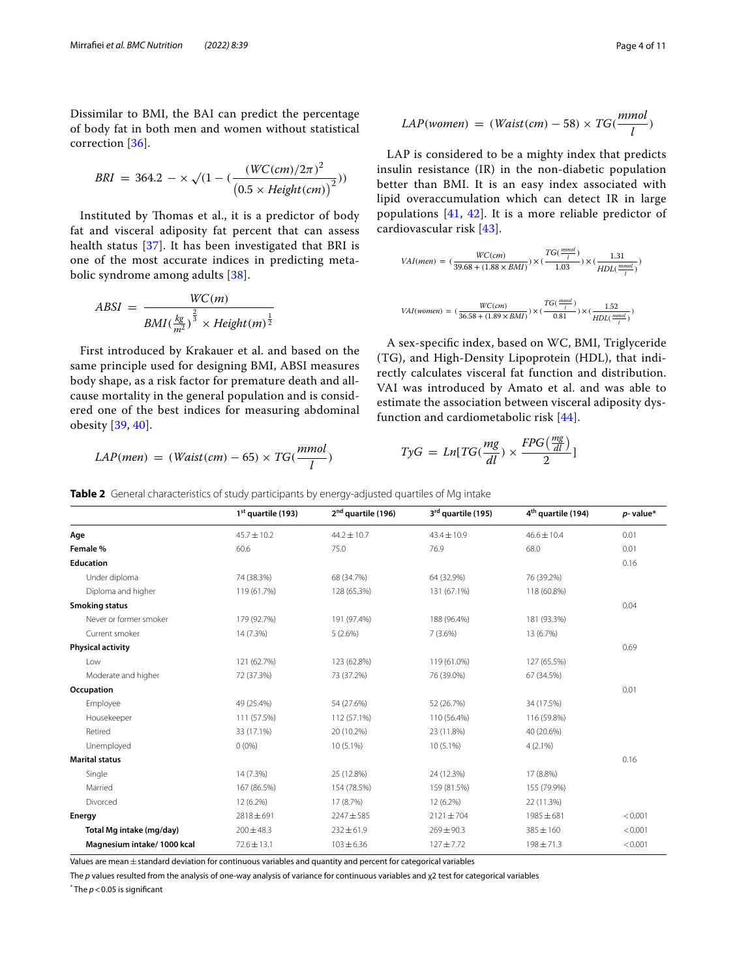Dissimilar to BMI, the BAI can predict the percentage of body fat in both men and women without statistical correction [[36](#page-9-25)].

$$
BRI = 364.2 - \times \sqrt{(1 - (\frac{(WC(cm)/2\pi)^2}{(0.5 \times Height(cm))^2})})
$$

Instituted by Thomas et al., it is a predictor of body fat and visceral adiposity fat percent that can assess health status [\[37](#page-9-26)]. It has been investigated that BRI is one of the most accurate indices in predicting metabolic syndrome among adults [[38\]](#page-9-27).

$$
ABSI = \frac{WC(m)}{BMI(\frac{kg}{m^2})^{\frac{2}{3}} \times Height(m)^{\frac{1}{2}}}
$$

First introduced by Krakauer et al. and based on the same principle used for designing BMI, ABSI measures body shape, as a risk factor for premature death and allcause mortality in the general population and is considered one of the best indices for measuring abdominal obesity [[39,](#page-9-28) [40\]](#page-9-29).

$$
LAP(men) = (Waist(cm) - 65) \times TG(\frac{mmol}{l})
$$

$$
LAP(women) = (Waist(cm) - 58) \times TG(\frac{mmol}{l})
$$

LAP is considered to be a mighty index that predicts insulin resistance (IR) in the non-diabetic population better than BMI. It is an easy index associated with lipid overaccumulation which can detect IR in large populations [[41,](#page-9-30) [42](#page-9-31)]. It is a more reliable predictor of cardiovascular risk [[43](#page-9-32)].

$$
VAI(men) = (\frac{WC(cm)}{39.68 + (1.88 \times BMI)}) \times (\frac{TG(\frac{mmol}{l})}{1.03}) \times (\frac{1.31}{HDL(\frac{mmol}{l})})
$$
  

$$
VAI(woman) = (\frac{WC(cm)}{36.58 + (1.89 \times BMI)}) \times (\frac{TG(\frac{mmol}{l})}{0.81}) \times (\frac{1.52}{HDL(\frac{mmol}{l}))})
$$

A sex-specifc index, based on WC, BMI, Triglyceride (TG), and High-Density Lipoprotein (HDL), that indirectly calculates visceral fat function and distribution. VAI was introduced by Amato et al. and was able to estimate the association between visceral adiposity dysfunction and cardiometabolic risk [\[44](#page-9-33)].

$$
TyG = Ln[TG(\frac{mg}{dl}) \times \frac{FPG(\frac{mg}{dl})}{2}]
$$

<span id="page-3-0"></span>**Table 2** General characteristics of study participants by energy-adjusted quartiles of Mg intake

**1st quartile (193) 2nd quartile (196) 3rd quartile (195) 4th quartile (194)** *p***- value\* Age** 45.7±10.2 44.2±10.7 43.4±10.9 46.6±10.4 45.4 0.01 **Female %** 60.6 75.0 76.9 68.0 0.01 **Education** 0.16 Under diploma 74 (38.3%) 68 (34.7%) 64 (32.9%) 76 (39.2%) Diploma and higher 119 (61.7%) 128 (65.3%) 131 (67.1%) 118 (60.8%) **Smoking status** 0.04 Never or former smoker 179 (92.7%) 191 (97.4%) 188 (96.4%) 188 (96.4%) 181 (93.3%) Current smoker 14 (7.3%) 5 (2.6%) 7 (3.6%) 13 (6.7%) **Physical activity** 0.69 Low 121 (62.7%) 123 (62.8%) 119 (61.0%) 127 (65.5%) Moderate and higher 72 (37.3%) 73 (37.2%) 76 (39.0%) 67 (34.5%) **Occupation** 0.01 Employee 49 (25.4%) 54 (27.6%) 52 (26.7%) 34 (17.5%) Housekeeper 111 (57.5%) 112 (57.1%) 110 (56.4%) 116 (59.8%) Retired 20.6%) 33 (17.1%) 20 (10.2%) 20 (10.2%) 23 (11.8%) 40 (20.6%) Unemployed 0 00% 0 (0%) 10 (5.1%) 10 (5.1%) 10 (5.1%) 4 (2.1%) **Marital status** 0.16 Single 14 (7.3%) 25 (12.8%) 25 (12.8%) 24 (12.3%) 24 (12.3%) 24 (12.3%) Married 167 (86.5%) 154 (78.5%) 159 (81.5%) 155 (79.9%) Divorced 12 (6.2%) 17 (8.7%) 12 (6.2%) 22 (11.3%) **Energy** 2818±691 2247±585 2121±704 1985±681 <0.001 **Total Mg intake (mg/day)** 200±48.3 232±61.9 269±90.3 385±160 <0.001 **Magnesium intake/ 1000 kcal**  $72.6 \pm 13.1$   $103 \pm 6.36$   $127 \pm 7.72$   $198 \pm 71.3$   $< 0.001$ 

Values are mean  $\pm$  standard deviation for continuous variables and quantity and percent for categorical variables

The *p* values resulted from the analysis of one-way analysis of variance for continuous variables and χ2 test for categorical variables

 $^*$  The  $p$  < 0.05 is significant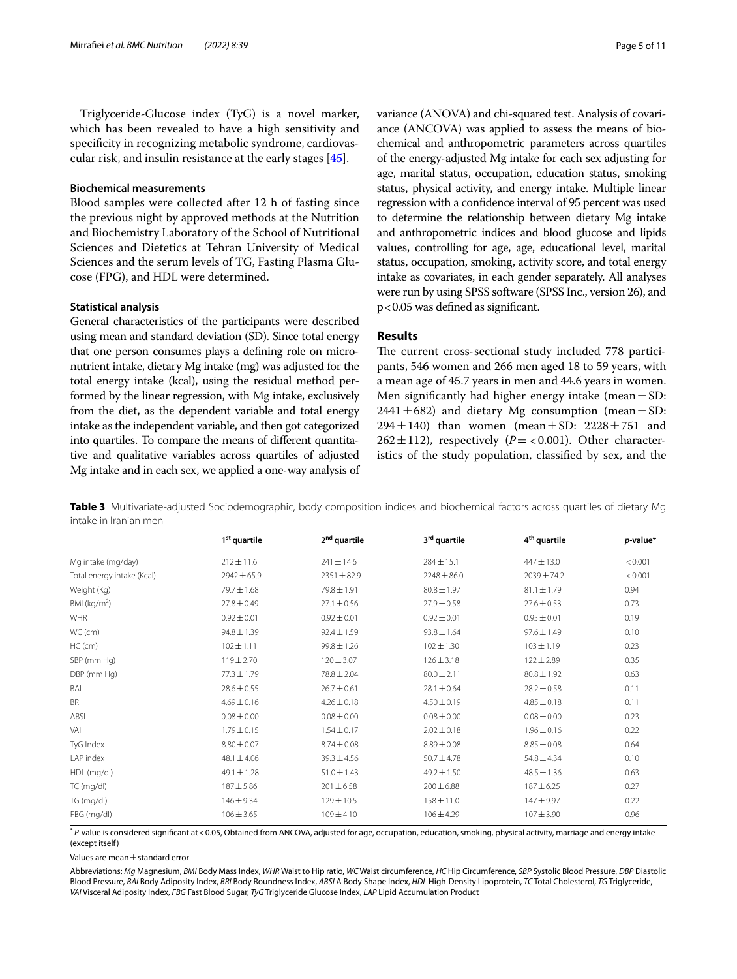Triglyceride-Glucose index (TyG) is a novel marker, which has been revealed to have a high sensitivity and specifcity in recognizing metabolic syndrome, cardiovascular risk, and insulin resistance at the early stages [\[45\]](#page-9-34).

## **Biochemical measurements**

Blood samples were collected after 12 h of fasting since the previous night by approved methods at the Nutrition and Biochemistry Laboratory of the School of Nutritional Sciences and Dietetics at Tehran University of Medical Sciences and the serum levels of TG, Fasting Plasma Glucose (FPG), and HDL were determined.

#### **Statistical analysis**

General characteristics of the participants were described using mean and standard deviation (SD). Since total energy that one person consumes plays a defning role on micronutrient intake, dietary Mg intake (mg) was adjusted for the total energy intake (kcal), using the residual method performed by the linear regression, with Mg intake, exclusively from the diet, as the dependent variable and total energy intake as the independent variable, and then got categorized into quartiles. To compare the means of diferent quantitative and qualitative variables across quartiles of adjusted Mg intake and in each sex, we applied a one-way analysis of variance (ANOVA) and chi-squared test. Analysis of covariance (ANCOVA) was applied to assess the means of biochemical and anthropometric parameters across quartiles of the energy-adjusted Mg intake for each sex adjusting for age, marital status, occupation, education status, smoking status, physical activity, and energy intake. Multiple linear regression with a confdence interval of 95 percent was used to determine the relationship between dietary Mg intake and anthropometric indices and blood glucose and lipids values, controlling for age, age, educational level, marital status, occupation, smoking, activity score, and total energy intake as covariates, in each gender separately. All analyses were run by using SPSS software (SPSS Inc., version 26), and p<0.05 was defned as signifcant.

# **Results**

The current cross-sectional study included 778 participants, 546 women and 266 men aged 18 to 59 years, with a mean age of 45.7 years in men and 44.6 years in women. Men significantly had higher energy intake (mean  $\pm$  SD: 2441 $\pm$ 682) and dietary Mg consumption (mean $\pm$ SD: 294 $\pm$ 140) than women (mean $\pm$ SD: 2228 $\pm$ 751 and  $262 \pm 112$ ), respectively ( $P = < 0.001$ ). Other characteristics of the study population, classifed by sex, and the

<span id="page-4-0"></span>**Table 3** Multivariate-adjusted Sociodemographic, body composition indices and biochemical factors across quartiles of dietary Mg intake in Iranian men

|                            | 1 <sup>st</sup> quartile | 2 <sup>nd</sup> quartile | 3 <sup>rd</sup> quartile | 4 <sup>th</sup> quartile | $p$ -value* |
|----------------------------|--------------------------|--------------------------|--------------------------|--------------------------|-------------|
| Mg intake (mg/day)         | $212 \pm 11.6$           | $241 \pm 14.6$           | $284 \pm 15.1$           | $447 \pm 13.0$           | < 0.001     |
| Total energy intake (Kcal) | $2942 \pm 65.9$          | $2351 \pm 82.9$          | $2248 \pm 86.0$          | 2039±74.2                | < 0.001     |
| Weight (Kg)                | 79.7±1.68                | 79.8 ± 1.91              | $80.8 \pm 1.97$          | $81.1 \pm 1.79$          | 0.94        |
| BMI ( $kg/m2$ )            | $27.8 \pm 0.49$          | $27.1 \pm 0.56$          | $27.9 \pm 0.58$          | $27.6 \pm 0.53$          | 0.73        |
| WHR                        | $0.92 \pm 0.01$          | $0.92 \pm 0.01$          | $0.92 \pm 0.01$          | $0.95 \pm 0.01$          | 0.19        |
| WC (cm)                    | $94.8 \pm 1.39$          | $92.4 \pm 1.59$          | $93.8 \pm 1.64$          | $97.6 \pm 1.49$          | 0.10        |
| $HC$ (cm)                  | $102 \pm 1.11$           | $99.8 \pm 1.26$          | $102 \pm 1.30$           | $103 \pm 1.19$           | 0.23        |
| SBP (mm Hg)                | $119 \pm 2.70$           | $120 \pm 3.07$           | $126 \pm 3.18$           | $122 \pm 2.89$           | 0.35        |
| DBP (mm Hg)                | $77.3 \pm 1.79$          | $78.8 \pm 2.04$          | $80.0 \pm 2.11$          | $80.8 \pm 1.92$          | 0.63        |
| BAI                        | $28.6 \pm 0.55$          | $26.7 \pm 0.61$          | $28.1 \pm 0.64$          | $28.2 \pm 0.58$          | 0.11        |
| <b>BRI</b>                 | $4.69 \pm 0.16$          | $4.26 \pm 0.18$          | $4.50 \pm 0.19$          | $4.85 \pm 0.18$          | 0.11        |
| ABSI                       | $0.08 \pm 0.00$          | $0.08 \pm 0.00$          | $0.08 \pm 0.00$          | $0.08 \pm 0.00$          | 0.23        |
| VAI                        | $1.79 \pm 0.15$          | $1.54 \pm 0.17$          | $2.02 \pm 0.18$          | $1.96 \pm 0.16$          | 0.22        |
| TyG Index                  | $8.80 \pm 0.07$          | $8.74 \pm 0.08$          | $8.89 \pm 0.08$          | $8.85 \pm 0.08$          | 0.64        |
| LAP index                  | $48.1 \pm 4.06$          | $39.3 \pm 4.56$          | $50.7 \pm 4.78$          | $54.8 \pm 4.34$          | 0.10        |
| HDL (mg/dl)                | $49.1 \pm 1.28$          | $51.0 \pm 1.43$          | $49.2 \pm 1.50$          | $48.5 \pm 1.36$          | 0.63        |
| TC (mg/dl)                 | $187 + 5.86$             | $201 \pm 6.58$           | $200 \pm 6.88$           | $187 + 6.25$             | 0.27        |
| TG (mg/dl)                 | $146 \pm 9.34$           | $129 \pm 10.5$           | $158 \pm 11.0$           | $147 + 9.97$             | 0.22        |
| FBG (mg/dl)                | $106 \pm 3.65$           | $109 \pm 4.10$           | $106 \pm 4.29$           | $107 + 3.90$             | 0.96        |

\* *P*-value is considered signifcant at<0.05, Obtained from ANCOVA, adjusted for age, occupation, education, smoking, physical activity, marriage and energy intake (except itself)

Values are mean $\pm$  standard error

Abbreviations: *Mg* Magnesium, *BMI* Body Mass Index, *WHR* Waist to Hip ratio, *WC* Waist circumference, *HC* Hip Circumference, *SBP* Systolic Blood Pressure, *DBP* Diastolic Blood Pressure, *BAI* Body Adiposity Index, *BRI* Body Roundness Index, *ABSI* A Body Shape Index, *HDL* High-Density Lipoprotein, *TC* Total Cholesterol, *TG* Triglyceride, *VAI* Visceral Adiposity Index, *FBG* Fast Blood Sugar, *TyG* Triglyceride Glucose Index, *LAP* Lipid Accumulation Product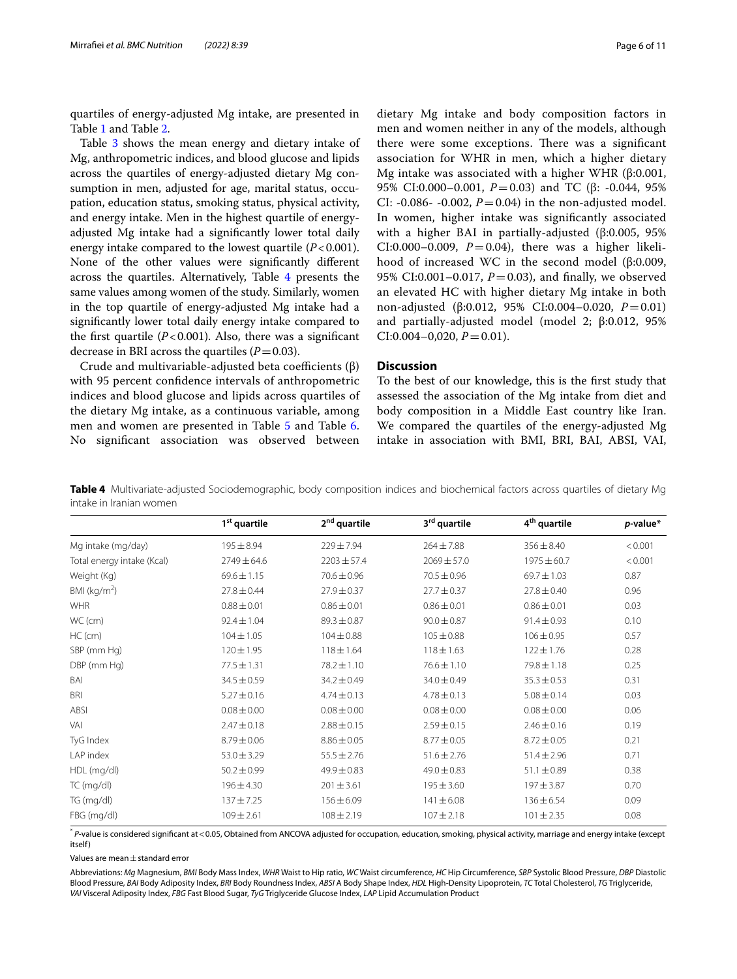quartiles of energy-adjusted Mg intake, are presented in Table [1](#page-2-0) and Table [2](#page-3-0).

Table [3](#page-4-0) shows the mean energy and dietary intake of Mg, anthropometric indices, and blood glucose and lipids across the quartiles of energy-adjusted dietary Mg consumption in men, adjusted for age, marital status, occupation, education status, smoking status, physical activity, and energy intake. Men in the highest quartile of energyadjusted Mg intake had a signifcantly lower total daily energy intake compared to the lowest quartile (*P*<0.001). None of the other values were signifcantly diferent across the quartiles. Alternatively, Table [4](#page-5-0) presents the same values among women of the study. Similarly, women in the top quartile of energy-adjusted Mg intake had a signifcantly lower total daily energy intake compared to the first quartile  $(P<0.001)$ . Also, there was a significant decrease in BRI across the quartiles  $(P=0.03)$ .

Crude and multivariable-adjusted beta coefficients  $(\beta)$ with 95 percent confdence intervals of anthropometric indices and blood glucose and lipids across quartiles of the dietary Mg intake, as a continuous variable, among men and women are presented in Table [5](#page-6-0) and Table [6](#page-7-0). No signifcant association was observed between

dietary Mg intake and body composition factors in men and women neither in any of the models, although there were some exceptions. There was a significant association for WHR in men, which a higher dietary Mg intake was associated with a higher WHR (β:0.001, 95% CI:0.000–0.001, *P* = 0.03) and TC (β: -0.044, 95% CI: -0.086- -0.002,  $P = 0.04$ ) in the non-adjusted model. In women, higher intake was signifcantly associated with a higher BAI in partially-adjusted (β:0.005, 95% CI:0.000–0.009,  $P = 0.04$ ), there was a higher likelihood of increased WC in the second model (β:0.009, 95% CI:0.001-0.017, *P*=0.03), and finally, we observed an elevated HC with higher dietary Mg intake in both non-adjusted (β:0.012, 95% CI:0.004–0.020, *P*=0.01) and partially-adjusted model (model 2; β:0.012, 95%  $CI: 0.004 - 0.020$ ,  $P = 0.01$ ).

# **Discussion**

To the best of our knowledge, this is the frst study that assessed the association of the Mg intake from diet and body composition in a Middle East country like Iran. We compared the quartiles of the energy-adjusted Mg intake in association with BMI, BRI, BAI, ABSI, VAI,

<span id="page-5-0"></span>**Table 4** Multivariate-adjusted Sociodemographic, body composition indices and biochemical factors across quartiles of dietary Mg intake in Iranian women

|                            | 1 <sup>st</sup> quartile | 2 <sup>nd</sup> quartile | 3rd quartile    | 4 <sup>th</sup> quartile | $p$ -value* |
|----------------------------|--------------------------|--------------------------|-----------------|--------------------------|-------------|
| Mg intake (mg/day)         | $195 \pm 8.94$           | $229 \pm 7.94$           | $264 \pm 7.88$  | $356 \pm 8.40$           | < 0.001     |
| Total energy intake (Kcal) | 2749 ± 64.6              | $2203 \pm 57.4$          | $2069 \pm 57.0$ | 1975 ± 60.7              | < 0.001     |
| Weight (Kg)                | $69.6 \pm 1.15$          | $70.6 \pm 0.96$          | $70.5 \pm 0.96$ | $69.7 \pm 1.03$          | 0.87        |
| BMI ( $kg/m2$ )            | $27.8 \pm 0.44$          | $27.9 \pm 0.37$          | $27.7 \pm 0.37$ | $27.8 \pm 0.40$          | 0.96        |
| <b>WHR</b>                 | $0.88 \pm 0.01$          | $0.86 \pm 0.01$          | $0.86 \pm 0.01$ | $0.86 \pm 0.01$          | 0.03        |
| WC (cm)                    | $92.4 \pm 1.04$          | $89.3 \pm 0.87$          | $90.0 \pm 0.87$ | $91.4 \pm 0.93$          | 0.10        |
| $HC$ (cm)                  | $104 \pm 1.05$           | $104 \pm 0.88$           | $105 \pm 0.88$  | $106 \pm 0.95$           | 0.57        |
| SBP (mm Hg)                | $120 \pm 1.95$           | $118 \pm 1.64$           | $118 \pm 1.63$  | $122 \pm 1.76$           | 0.28        |
| DBP (mm Hg)                | $77.5 \pm 1.31$          | 78.2±1.10                | $76.6 \pm 1.10$ | 79.8±1.18                | 0.25        |
| BAI                        | $34.5 \pm 0.59$          | $34.2 \pm 0.49$          | $34.0 \pm 0.49$ | $35.3 \pm 0.53$          | 0.31        |
| <b>BRI</b>                 | $5.27 \pm 0.16$          | $4.74 \pm 0.13$          | $4.78 \pm 0.13$ | $5.08 \pm 0.14$          | 0.03        |
| ABSI                       | $0.08 \pm 0.00$          | $0.08 \pm 0.00$          | $0.08 \pm 0.00$ | $0.08 \pm 0.00$          | 0.06        |
| VAI                        | $2.47 \pm 0.18$          | $2.88 \pm 0.15$          | $2.59 \pm 0.15$ | $2.46 \pm 0.16$          | 0.19        |
| TyG Index                  | $8.79 \pm 0.06$          | $8.86 \pm 0.05$          | $8.77 \pm 0.05$ | $8.72 \pm 0.05$          | 0.21        |
| LAP index                  | $53.0 \pm 3.29$          | $55.5 \pm 2.76$          | $51.6 \pm 2.76$ | $51.4 \pm 2.96$          | 0.71        |
| HDL (mg/dl)                | $50.2 \pm 0.99$          | $49.9 \pm 0.83$          | $49.0 \pm 0.83$ | $51.1 \pm 0.89$          | 0.38        |
| TC (mg/dl)                 | $196 \pm 4.30$           | $201 \pm 3.61$           | $195 \pm 3.60$  | $197 + 3.87$             | 0.70        |
| TG (mg/dl)                 | $137 + 7.25$             | $156 \pm 6.09$           | $141 \pm 6.08$  | $136 \pm 6.54$           | 0.09        |
| FBG (mg/dl)                | $109 \pm 2.61$           | $108 \pm 2.19$           | $107 + 2.18$    | $101 \pm 2.35$           | 0.08        |

\* *P*-value is considered signifcant at<0.05, Obtained from ANCOVA adjusted for occupation, education, smoking, physical activity, marriage and energy intake (except itself)

Values are mean $\pm$ standard error

Abbreviations: *Mg* Magnesium, *BMI* Body Mass Index, *WHR* Waist to Hip ratio, *WC* Waist circumference, *HC* Hip Circumference, *SBP* Systolic Blood Pressure, *DBP* Diastolic Blood Pressure, *BAI* Body Adiposity Index, *BRI* Body Roundness Index, *ABSI* A Body Shape Index, *HDL* High-Density Lipoprotein, *TC* Total Cholesterol, *TG* Triglyceride, *VAI* Visceral Adiposity Index, *FBG* Fast Blood Sugar, *TyG* Triglyceride Glucose Index, *LAP* Lipid Accumulation Product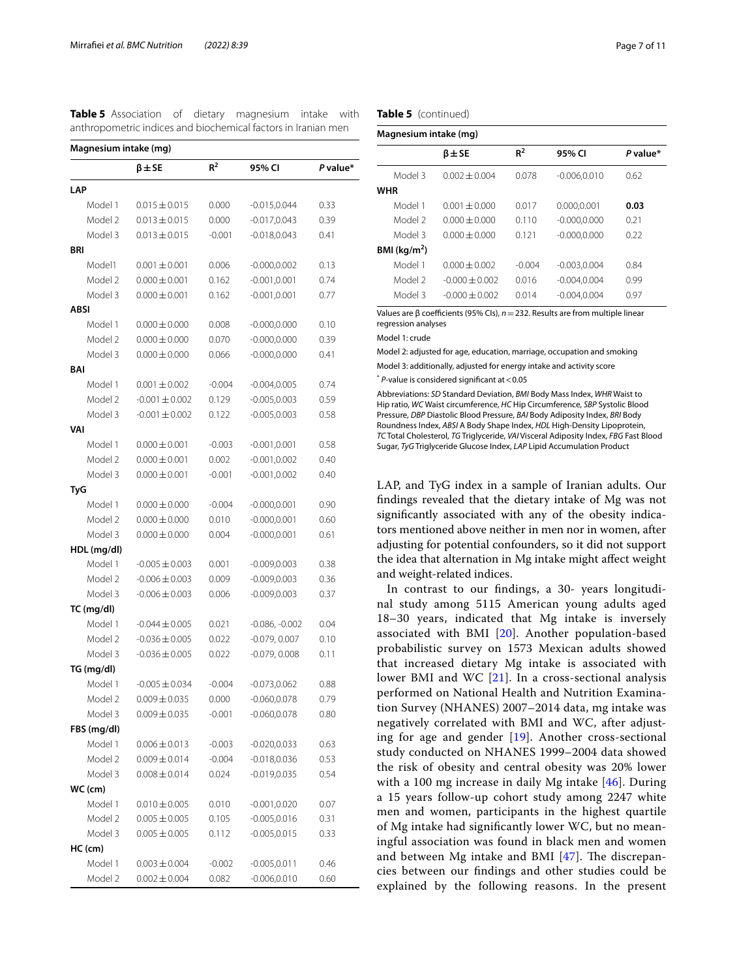| Magnesium intake (mg)  |                                        |                   |                                    |              |
|------------------------|----------------------------------------|-------------------|------------------------------------|--------------|
|                        | $\beta$ $\pm$ SE                       | $R^2$             | 95% CI                             | P value*     |
| LAP                    |                                        |                   |                                    |              |
| Model 1                | $0.015 \pm 0.015$                      | 0.000             | $-0.015, 0.044$                    | 0.33         |
| Model 2                | $0.013 \pm 0.015$                      | 0.000             | $-0.017, 0.043$                    | 0.39         |
| Model 3                | $0.013 \pm 0.015$                      | $-0.001$          | $-0.018, 0.043$                    | 0.41         |
| BRI                    |                                        |                   |                                    |              |
| Model1                 | $0.001 \pm 0.001$                      | 0.006             | $-0.000, 0.002$                    | 0.13         |
| Model 2                | $0.000 \pm 0.001$                      | 0.162             | $-0.001, 0.001$                    | 0.74         |
| Model 3                | $0.000 \pm 0.001$                      | 0.162             | $-0.001, 0.001$                    | 0.77         |
| ABSI                   |                                        |                   |                                    |              |
| Model 1                | $0.000 \pm 0.000$                      | 0.008             | $-0.000, 0.000$                    | 0.10         |
| Model 2                | $0.000 \pm 0.000$                      | 0.070             | $-0.000, 0.000$                    | 0.39         |
| Model 3                | $0.000 \pm 0.000$                      | 0.066             | $-0.000, 0.000$                    | 0.41         |
| BAI                    |                                        |                   |                                    |              |
| Model 1                | $0.001 \pm 0.002$                      | $-0.004$          | $-0.004, 0.005$                    | 0.74         |
| Model 2                | $-0.001 \pm 0.002$                     | 0.129             | $-0.005, 0.003$                    | 0.59         |
| Model 3                | $-0.001 \pm 0.002$                     | 0.122             | $-0.005, 0.003$                    | 0.58         |
| VAI                    |                                        |                   |                                    |              |
| Model 1                | $0.000 \pm 0.001$                      | $-0.003$          | $-0.001, 0.001$                    | 0.58         |
| Model 2                | $0.000 \pm 0.001$                      | 0.002             | $-0.001, 0.002$                    | 0.40         |
| Model 3                | $0.000 \pm 0.001$                      | $-0.001$          | $-0.001, 0.002$                    | 0.40         |
| TyG                    |                                        |                   |                                    |              |
| Model 1                | $0.000 \pm 0.000$                      | $-0.004$          | $-0.000, 0.001$                    | 0.90         |
| Model 2                | $0.000 \pm 0.000$                      | 0.010             | $-0.000, 0.001$                    | 0.60         |
| Model 3                | $0.000 \pm 0.000$                      | 0.004             | $-0.000, 0.001$                    | 0.61         |
| HDL (mg/dl)            |                                        |                   |                                    |              |
| Model 1                | $-0.005 \pm 0.003$                     | 0.001             | $-0.009, 0.003$                    | 0.38         |
| Model 2                | $-0.006 \pm 0.003$                     | 0.009             | $-0.009, 0.003$                    | 0.36         |
| Model 3                | $-0.006 \pm 0.003$                     | 0.006             | $-0.009, 0.003$                    | 0.37         |
| TC (mg/dl)             |                                        |                   |                                    |              |
| Model 1                | $-0.044 \pm 0.005$                     | 0.021             | $-0.086, -0.002$                   | 0.04         |
| Model 2                | $-0.036 \pm 0.005$                     | 0.022             | $-0.079, 0.007$                    | 0.10         |
| Model 3                | $-0.036 \pm 0.005$                     | 0.022             | $-0.079, 0.008$                    | 0.11         |
| TG (mg/dl)             |                                        |                   |                                    |              |
| Model 1                | $-0.005 \pm 0.034$                     | $-0.004$          | $-0.073, 0.062$                    | 0.88         |
| Model 2                | $0.009 \pm 0.035$                      | 0.000             | $-0.060, 0.078$                    | 0.79         |
| Model 3                | $0.009 \pm 0.035$                      | $-0.001$          | $-0.060, 0.078$                    | 0.80         |
| FBS (mg/dl)<br>Model 1 | $0.006 \pm 0.013$                      |                   | $-0.020, 0.033$                    | 0.63         |
| Model 2                |                                        | $-0.003$          |                                    |              |
| Model 3                | $0.009 \pm 0.014$<br>$0.008 \pm 0.014$ | $-0.004$<br>0.024 | $-0.018, 0.036$<br>$-0.019, 0.035$ | 0.53<br>0.54 |
| WC (cm)                |                                        |                   |                                    |              |
| Model 1                | $0.010 \pm 0.005$                      | 0.010             | $-0.001, 0.020$                    | 0.07         |
| Model 2                | $0.005 \pm 0.005$                      | 0.105             | $-0.005, 0.016$                    | 0.31         |
| Model 3                | $0.005 \pm 0.005$                      | 0.112             | $-0.005, 0.015$                    | 0.33         |
| $HC$ (cm)              |                                        |                   |                                    |              |
| Model 1                | $0.003 \pm 0.004$                      | $-0.002$          | $-0.005, 0.011$                    | 0.46         |
| Model 2                | $0.002 \pm 0.004$                      | 0.082             | $-0.006, 0.010$                    | 0.60         |
|                        |                                        |                   |                                    |              |

<span id="page-6-0"></span>

|  |  | Table 5 Association of dietary magnesium intake with          |  |
|--|--|---------------------------------------------------------------|--|
|  |  | anthropometric indices and biochemical factors in Iranian men |  |

**Table 5** (continued)

| Magnesium intake (mg)   |                  |          |                 |          |  |  |
|-------------------------|------------------|----------|-----------------|----------|--|--|
|                         | $\beta$ $\pm$ SE | $R^2$    | 95% CI          | P value* |  |  |
| Model 3                 | $0.002 + 0.004$  | 0.078    | $-0.006, 0.010$ | 0.62     |  |  |
| <b>WHR</b>              |                  |          |                 |          |  |  |
| Model 1                 | $0.001 + 0.000$  | 0.017    | 0.000,0.001     | 0.03     |  |  |
| Model 2                 | $0.000 + 0.000$  | 0110     | $-0.000.0.000$  | 0.21     |  |  |
| Model 3                 | $0.000 + 0.000$  | 0.121    | $-0.000.0.000$  | 0.22     |  |  |
| BMI ( $\text{kg/m}^2$ ) |                  |          |                 |          |  |  |
| Model 1                 | $0.000 + 0.002$  | $-0.004$ | $-0.003.0.004$  | 0.84     |  |  |
| Model 2                 | $-0.000 + 0.002$ | 0.016    | $-0.004.0.004$  | 0.99     |  |  |
| Model 3                 | $-0.000 + 0.002$ | 0.014    | $-0.004.0.004$  | 0.97     |  |  |

Values are β coefficients (95% Cls), *n* = 232. Results are from multiple linear regression analyses

Model 1: crude

Model 2: adjusted for age, education, marriage, occupation and smoking Model 3: additionally, adjusted for energy intake and activity score

\* *P*-value is considered signifcant at<0.05

Abbreviations: *SD* Standard Deviation, *BMI* Body Mass Index, *WHR* Waist to Hip ratio, *WC* Waist circumference, *HC* Hip Circumference, *SBP* Systolic Blood Pressure, *DBP* Diastolic Blood Pressure, *BAI* Body Adiposity Index, *BRI* Body Roundness Index, *ABSI* A Body Shape Index, *HDL* High-Density Lipoprotein, *TC* Total Cholesterol, *TG* Triglyceride, *VAI* Visceral Adiposity Index, *FBG* Fast Blood Sugar, *TyG* Triglyceride Glucose Index, *LAP* Lipid Accumulation Product

LAP, and TyG index in a sample of Iranian adults. Our fndings revealed that the dietary intake of Mg was not signifcantly associated with any of the obesity indicators mentioned above neither in men nor in women, after adjusting for potential confounders, so it did not support the idea that alternation in Mg intake might afect weight and weight-related indices.

In contrast to our fndings, a 30- years longitudinal study among 5115 American young adults aged 18–30 years, indicated that Mg intake is inversely associated with BMI [[20\]](#page-9-35). Another population-based probabilistic survey on 1573 Mexican adults showed that increased dietary Mg intake is associated with lower BMI and WC [[21](#page-9-10)]. In a cross-sectional analysis performed on National Health and Nutrition Examination Survey (NHANES) 2007–2014 data, mg intake was negatively correlated with BMI and WC, after adjusting for age and gender [[19](#page-9-9)]. Another cross-sectional study conducted on NHANES 1999–2004 data showed the risk of obesity and central obesity was 20% lower with a 100 mg increase in daily Mg intake [[46\]](#page-9-36). During a 15 years follow-up cohort study among 2247 white men and women, participants in the highest quartile of Mg intake had signifcantly lower WC, but no meaningful association was found in black men and women and between Mg intake and BMI  $[47]$  $[47]$ . The discrepancies between our fndings and other studies could be explained by the following reasons. In the present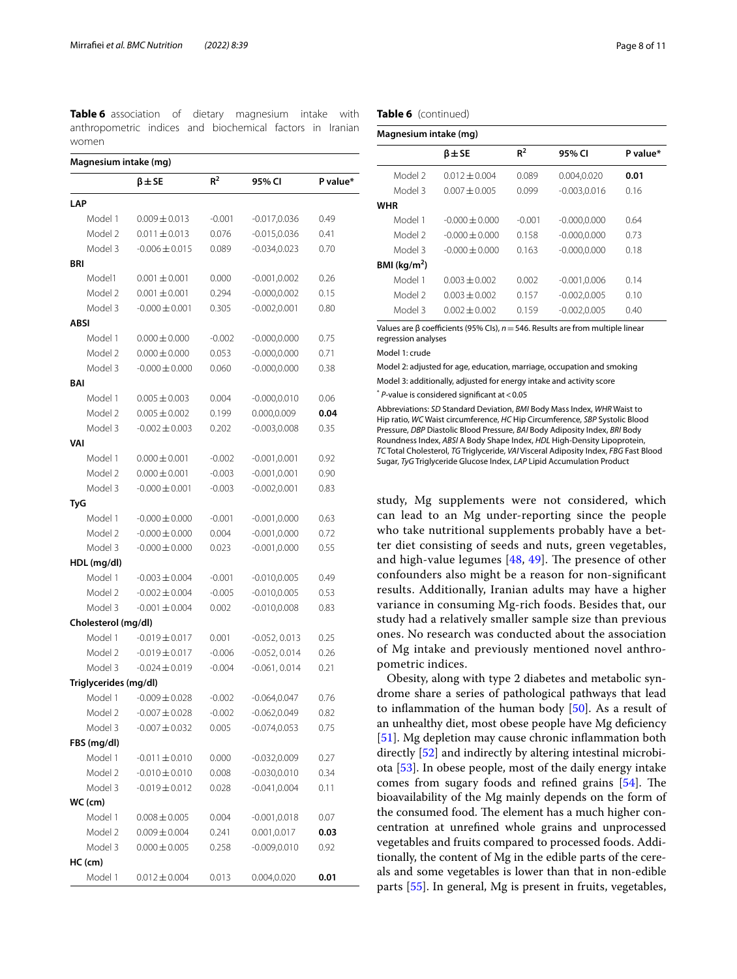<span id="page-7-0"></span>**Table 6** association of dietary magnesium intake with anthropometric indices and biochemical factors in Iranian women

**Magnesium intake (mg)**

|             |                       | $\beta$ $\pm$ SE   | $R^2$    | 95% CI          | P value* |
|-------------|-----------------------|--------------------|----------|-----------------|----------|
| LAP         |                       |                    |          |                 |          |
|             | Model 1               | $0.009 \pm 0.013$  | $-0.001$ | $-0.017,0.036$  | 0.49     |
|             | Model 2               | $0.011 \pm 0.013$  | 0.076    | $-0.015, 0.036$ | 0.41     |
|             | Model 3               | $-0.006 \pm 0.015$ | 0.089    | $-0.034, 0.023$ | 0.70     |
| BRI         |                       |                    |          |                 |          |
|             | Model1                | $0.001 \pm 0.001$  | 0.000    | $-0.001, 0.002$ | 0.26     |
|             | Model 2               | $0.001 \pm 0.001$  | 0.294    | $-0.000, 0.002$ | 0.15     |
|             | Model 3               | $-0.000 \pm 0.001$ | 0.305    | $-0.002, 0.001$ | 0.80     |
| <b>ABSI</b> |                       |                    |          |                 |          |
|             | Model 1               | $0.000 \pm 0.000$  | $-0.002$ | $-0.000, 0.000$ | 0.75     |
|             | Model 2               | $0.000 \pm 0.000$  | 0.053    | $-0.000, 0.000$ | 0.71     |
|             | Model 3               | $-0.000 \pm 0.000$ | 0.060    | $-0.000, 0.000$ | 0.38     |
| BAI         |                       |                    |          |                 |          |
|             | Model 1               | $0.005 \pm 0.003$  | 0.004    | $-0.000, 0.010$ | 0.06     |
|             | Model 2               | $0.005 \pm 0.002$  | 0.199    | 0.000,0.009     | 0.04     |
|             | Model 3               | $-0.002 \pm 0.003$ | 0.202    | $-0.003, 0.008$ | 0.35     |
| VAI         |                       |                    |          |                 |          |
|             | Model 1               | $0.000 \pm 0.001$  | $-0.002$ | $-0.001, 0.001$ | 0.92     |
|             | Model 2               | $0.000 \pm 0.001$  | $-0.003$ | $-0.001, 0.001$ | 0.90     |
|             | Model 3               | $-0.000 \pm 0.001$ | $-0.003$ | $-0.002, 0.001$ | 0.83     |
| TyG         |                       |                    |          |                 |          |
|             | Model 1               | $-0.000 \pm 0.000$ | $-0.001$ | $-0.001, 0.000$ | 0.63     |
|             | Model 2               | $-0.000 \pm 0.000$ | 0.004    | $-0.001, 0.000$ | 0.72     |
|             | Model 3               | $-0.000 \pm 0.000$ | 0.023    | $-0.001, 0.000$ | 0.55     |
|             | HDL (mg/dl)           |                    |          |                 |          |
|             | Model 1               | $-0.003 \pm 0.004$ | $-0.001$ | $-0.010, 0.005$ | 0.49     |
|             | Model 2               | $-0.002 \pm 0.004$ | $-0.005$ | $-0.010, 0.005$ | 0.53     |
|             | Model 3               | $-0.001 \pm 0.004$ | 0.002    | $-0.010, 0.008$ | 0.83     |
|             | Cholesterol (mg/dl)   |                    |          |                 |          |
|             | Model 1               | $-0.019 \pm 0.017$ | 0.001    | $-0.052, 0.013$ | 0.25     |
|             | Model 2               | $-0.019 \pm 0.017$ | $-0.006$ | $-0.052, 0.014$ | 0.26     |
|             | Model 3               | $-0.024 \pm 0.019$ | $-0.004$ | $-0.061, 0.014$ | 0.21     |
|             | Triglycerides (mg/dl) |                    |          |                 |          |
|             | Model 1               | $-0.009 \pm 0.028$ | $-0.002$ | $-0.064, 0.047$ | 0.76     |
|             | Model 2               | $-0.007 \pm 0.028$ | $-0.002$ | $-0.062, 0.049$ | 0.82     |
|             | Model 3               | $-0.007 \pm 0.032$ | 0.005    | $-0.074, 0.053$ | 0.75     |
|             | FBS (mg/dl)           |                    |          |                 |          |
|             | Model 1               | $-0.011 \pm 0.010$ | 0.000    | $-0.032, 0.009$ | 0.27     |
|             | Model 2               | $-0.010 \pm 0.010$ | 0.008    | $-0.030, 0.010$ | 0.34     |
|             | Model 3               | $-0.019 \pm 0.012$ | 0.028    | $-0.041, 0.004$ | 0.11     |
|             | WC (cm)               |                    |          |                 |          |
|             | Model 1               | $0.008 \pm 0.005$  | 0.004    | $-0.001, 0.018$ | 0.07     |
|             | Model 2               | $0.009 \pm 0.004$  | 0.241    | 0.001,0.017     | 0.03     |
|             | Model 3               | $0.000 \pm 0.005$  | 0.258    | $-0.009, 0.010$ | 0.92     |
|             | HC (cm)               |                    |          |                 |          |
|             | Model 1               | $0.012 \pm 0.004$  | 0.013    | 0.004,0.020     | 0.01     |

#### **Table 6** (continued)

| Magnesium intake (mg)   |                    |                |                 |          |  |  |
|-------------------------|--------------------|----------------|-----------------|----------|--|--|
|                         | $\beta$ $\pm$ SE   | R <sup>2</sup> | 95% CI          | P value* |  |  |
| Model 2                 | $0.012 \pm 0.004$  | 0.089          | 0.004,0.020     | 0.01     |  |  |
| Model 3                 | $0.007 + 0.005$    | 0.099          | $-0.003, 0.016$ | 0.16     |  |  |
| WHR                     |                    |                |                 |          |  |  |
| Model 1                 | $-0.000 \pm 0.000$ | $-0.001$       | $-0.000, 0.000$ | 0.64     |  |  |
| Model 2                 | $-0.000 \pm 0.000$ | 0.158          | $-0.000, 0.000$ | 0.73     |  |  |
| Model 3                 | $-0.000 \pm 0.000$ | 0.163          | $-0.000.0.000$  | 0.18     |  |  |
| BMI ( $\text{kg/m}^2$ ) |                    |                |                 |          |  |  |
| Model 1                 | $0.003 + 0.002$    | 0.002          | $-0.001.0.006$  | 0.14     |  |  |
| Model 2                 | $0.003 + 0.002$    | 0.157          | $-0.002.0.005$  | 0.10     |  |  |
| Model 3                 | $0.002 + 0.002$    | 0.159          | $-0.002, 0.005$ | 0.40     |  |  |

Values are β coefficients (95% Cls), *n* = 546. Results are from multiple linear regression analyses

Model 1: crude

Model 2: adjusted for age, education, marriage, occupation and smoking

Model 3: additionally, adjusted for energy intake and activity score

\* *P*-value is considered signifcant at<0.05

Abbreviations: *SD* Standard Deviation, *BMI* Body Mass Index, *WHR* Waist to Hip ratio, *WC* Waist circumference, *HC* Hip Circumference, *SBP* Systolic Blood Pressure, *DBP* Diastolic Blood Pressure, *BAI* Body Adiposity Index, *BRI* Body Roundness Index, *ABSI* A Body Shape Index, *HDL* High-Density Lipoprotein, *TC* Total Cholesterol, *TG* Triglyceride, *VAI* Visceral Adiposity Index, *FBG* Fast Blood Sugar, *TyG* Triglyceride Glucose Index, *LAP* Lipid Accumulation Product

study, Mg supplements were not considered, which can lead to an Mg under-reporting since the people who take nutritional supplements probably have a better diet consisting of seeds and nuts, green vegetables, and high-value legumes  $[48, 49]$  $[48, 49]$  $[48, 49]$  $[48, 49]$  $[48, 49]$ . The presence of other confounders also might be a reason for non-signifcant results. Additionally, Iranian adults may have a higher variance in consuming Mg-rich foods. Besides that, our study had a relatively smaller sample size than previous ones. No research was conducted about the association of Mg intake and previously mentioned novel anthropometric indices.

Obesity, along with type 2 diabetes and metabolic syndrome share a series of pathological pathways that lead to infammation of the human body [[50\]](#page-9-40). As a result of an unhealthy diet, most obese people have Mg defciency [[51\]](#page-10-0). Mg depletion may cause chronic inflammation both directly [\[52](#page-10-1)] and indirectly by altering intestinal microbiota [[53](#page-10-2)]. In obese people, most of the daily energy intake comes from sugary foods and refined grains [\[54](#page-10-3)]. The bioavailability of the Mg mainly depends on the form of the consumed food. The element has a much higher concentration at unrefned whole grains and unprocessed vegetables and fruits compared to processed foods. Additionally, the content of Mg in the edible parts of the cereals and some vegetables is lower than that in non-edible parts [[55](#page-10-4)]. In general, Mg is present in fruits, vegetables,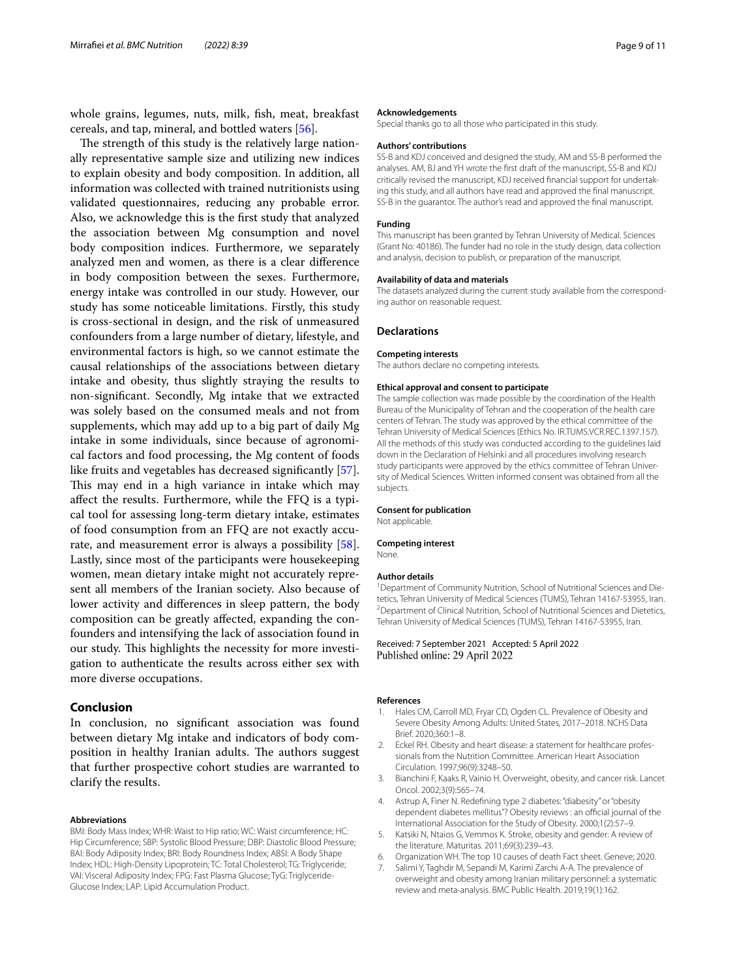whole grains, legumes, nuts, milk, fsh, meat, breakfast cereals, and tap, mineral, and bottled waters [[56](#page-10-5)].

The strength of this study is the relatively large nationally representative sample size and utilizing new indices to explain obesity and body composition. In addition, all information was collected with trained nutritionists using validated questionnaires, reducing any probable error. Also, we acknowledge this is the frst study that analyzed the association between Mg consumption and novel body composition indices. Furthermore, we separately analyzed men and women, as there is a clear diference in body composition between the sexes. Furthermore, energy intake was controlled in our study. However, our study has some noticeable limitations. Firstly, this study is cross-sectional in design, and the risk of unmeasured confounders from a large number of dietary, lifestyle, and environmental factors is high, so we cannot estimate the causal relationships of the associations between dietary intake and obesity, thus slightly straying the results to non-signifcant. Secondly, Mg intake that we extracted was solely based on the consumed meals and not from supplements, which may add up to a big part of daily Mg intake in some individuals, since because of agronomical factors and food processing, the Mg content of foods like fruits and vegetables has decreased signifcantly [\[57](#page-10-6)]. This may end in a high variance in intake which may afect the results. Furthermore, while the FFQ is a typical tool for assessing long-term dietary intake, estimates of food consumption from an FFQ are not exactly accurate, and measurement error is always a possibility [\[58](#page-10-7)]. Lastly, since most of the participants were housekeeping women, mean dietary intake might not accurately represent all members of the Iranian society. Also because of lower activity and diferences in sleep pattern, the body composition can be greatly afected, expanding the confounders and intensifying the lack of association found in our study. This highlights the necessity for more investigation to authenticate the results across either sex with more diverse occupations.

# **Conclusion**

In conclusion, no signifcant association was found between dietary Mg intake and indicators of body composition in healthy Iranian adults. The authors suggest that further prospective cohort studies are warranted to clarify the results.

#### **Abbreviations**

BMI: Body Mass Index; WHR: Waist to Hip ratio; WC: Waist circumference; HC: Hip Circumference; SBP: Systolic Blood Pressure; DBP: Diastolic Blood Pressure; BAI: Body Adiposity Index; BRI: Body Roundness Index; ABSI: A Body Shape Index; HDL: High-Density Lipoprotein; TC: Total Cholesterol; TG: Triglyceride; VAI: Visceral Adiposity Index; FPG: Fast Plasma Glucose; TyG: Triglyceride-Glucose Index; LAP: Lipid Accumulation Product.

#### **Acknowledgements**

Special thanks go to all those who participated in this study.

#### **Authors' contributions**

SS-B and KDJ conceived and designed the study, AM and SS-B performed the analyses. AM, BJ and YH wrote the frst draft of the manuscript, SS-B and KDJ critically revised the manuscript, KDJ received financial support for undertaking this study, and all authors have read and approved the fnal manuscript. SS-B in the guarantor. The author's read and approved the fnal manuscript.

#### **Funding**

This manuscript has been granted by Tehran University of Medical. Sciences (Grant No: 40186). The funder had no role in the study design, data collection and analysis, decision to publish, or preparation of the manuscript.

#### **Availability of data and materials**

The datasets analyzed during the current study available from the corresponding author on reasonable request.

#### **Declarations**

#### **Competing interests**

The authors declare no competing interests.

#### **Ethical approval and consent to participate**

The sample collection was made possible by the coordination of the Health Bureau of the Municipality of Tehran and the cooperation of the health care centers of Tehran. The study was approved by the ethical committee of the Tehran University of Medical Sciences (Ethics No. IR.TUMS.VCR.REC.1397.157). All the methods of this study was conducted according to the guidelines laid down in the Declaration of Helsinki and all procedures involving research study participants were approved by the ethics committee of Tehran University of Medical Sciences. Written informed consent was obtained from all the subjects.

#### **Consent for publication**

Not applicable.

#### **Competing interest**

None.

#### **Author details**

<sup>1</sup> Department of Community Nutrition, School of Nutritional Sciences and Dietetics, Tehran University of Medical Sciences (TUMS), Tehran 14167-53955, Iran. <sup>2</sup> Department of Clinical Nutrition, School of Nutritional Sciences and Dietetics, Tehran University of Medical Sciences (TUMS), Tehran 14167‑53955, Iran.

Received: 7 September 2021 Accepted: 5 April 2022 Published online: 29 April 2022

#### **References**

- <span id="page-8-0"></span>Hales CM, Carroll MD, Fryar CD, Ogden CL. Prevalence of Obesity and Severe Obesity Among Adults: United States, 2017–2018. NCHS Data Brief. 2020;360:1–8.
- <span id="page-8-1"></span>2. Eckel RH. Obesity and heart disease: a statement for healthcare professionals from the Nutrition Committee. American Heart Association Circulation. 1997;96(9):3248–50.
- <span id="page-8-2"></span>3. Bianchini F, Kaaks R, Vainio H. Overweight, obesity, and cancer risk. Lancet Oncol. 2002;3(9):565–74.
- <span id="page-8-3"></span>4. Astrup A, Finer N. Redefning type 2 diabetes: "diabesity" or "obesity dependent diabetes mellitus"? Obesity reviews : an official journal of the International Association for the Study of Obesity. 2000;1(2):57–9.
- <span id="page-8-4"></span>5. Katsiki N, Ntaios G, Vemmos K. Stroke, obesity and gender: A review of the literature. Maturitas. 2011;69(3):239–43.
- <span id="page-8-5"></span>6. Organization WH. The top 10 causes of death Fact sheet. Geneve; 2020.
- <span id="page-8-6"></span>7. Salimi Y, Taghdir M, Sepandi M, Karimi Zarchi A-A. The prevalence of overweight and obesity among Iranian military personnel: a systematic review and meta-analysis. BMC Public Health. 2019;19(1):162.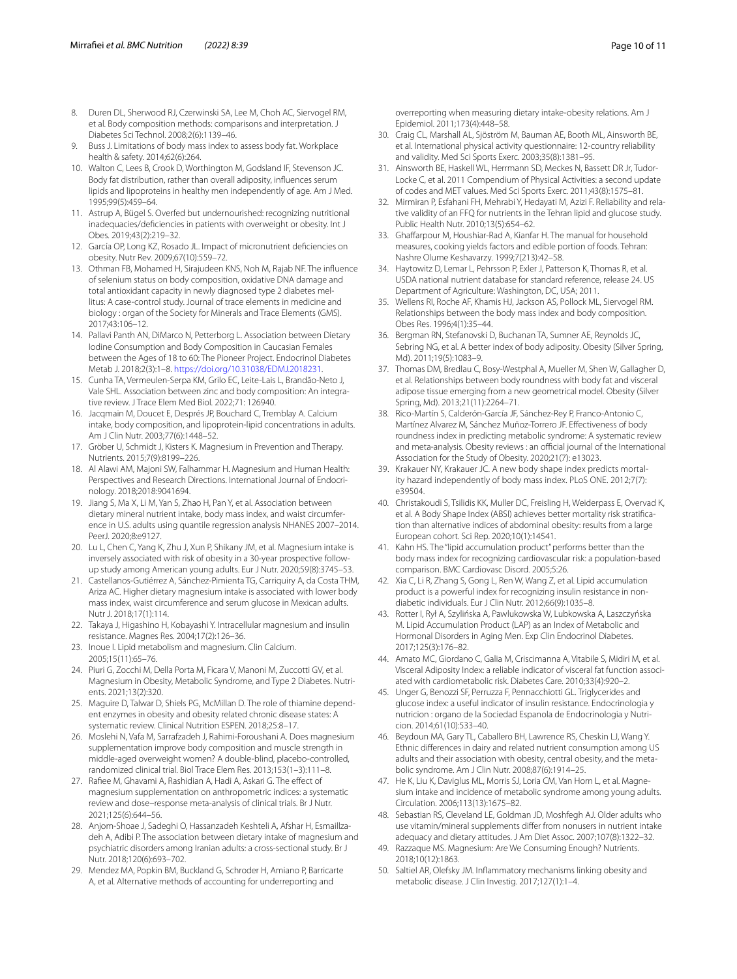- <span id="page-9-0"></span>8. Duren DL, Sherwood RJ, Czerwinski SA, Lee M, Choh AC, Siervogel RM, et al. Body composition methods: comparisons and interpretation. J Diabetes Sci Technol. 2008;2(6):1139–46.
- <span id="page-9-1"></span>9. Buss J. Limitations of body mass index to assess body fat. Workplace health & safety. 2014;62(6):264.
- <span id="page-9-2"></span>10. Walton C, Lees B, Crook D, Worthington M, Godsland IF, Stevenson JC. Body fat distribution, rather than overall adiposity, infuences serum lipids and lipoproteins in healthy men independently of age. Am J Med. 1995;99(5):459–64.
- <span id="page-9-3"></span>11. Astrup A, Bügel S. Overfed but undernourished: recognizing nutritional inadequacies/deficiencies in patients with overweight or obesity. Int J Obes. 2019;43(2):219–32.
- <span id="page-9-4"></span>12. García OP, Long KZ, Rosado JL. Impact of micronutrient defciencies on obesity. Nutr Rev. 2009;67(10):559–72.
- <span id="page-9-5"></span>13. Othman FB, Mohamed H, Sirajudeen KNS, Noh M, Rajab NF. The infuence of selenium status on body composition, oxidative DNA damage and total antioxidant capacity in newly diagnosed type 2 diabetes mellitus: A case-control study. Journal of trace elements in medicine and biology : organ of the Society for Minerals and Trace Elements (GMS). 2017;43:106–12.
- 14. Pallavi Panth AN, DiMarco N, Petterborg L. Association between Dietary Iodine Consumption and Body Composition in Caucasian Females between the Ages of 18 to 60: The Pioneer Project. Endocrinol Diabetes Metab J. 2018;2(3):1–8. [https://doi.org/10.31038/EDMJ.2018231.](https://doi.org/10.31038/EDMJ.2018231)
- 15. Cunha TA, Vermeulen-Serpa KM, Grilo EC, Leite-Lais L, Brandão-Neto J, Vale SHL. Association between zinc and body composition: An integrative review. J Trace Elem Med Biol. 2022;71: 126940.
- <span id="page-9-6"></span>16. Jacqmain M, Doucet E, Després JP, Bouchard C, Tremblay A. Calcium intake, body composition, and lipoprotein-lipid concentrations in adults. Am J Clin Nutr. 2003;77(6):1448–52.
- <span id="page-9-7"></span>17. Gröber U, Schmidt J, Kisters K. Magnesium in Prevention and Therapy. Nutrients. 2015;7(9):8199–226.
- <span id="page-9-8"></span>18. Al Alawi AM, Majoni SW, Falhammar H. Magnesium and Human Health: Perspectives and Research Directions. International Journal of Endocrinology. 2018;2018:9041694.
- <span id="page-9-9"></span>19. Jiang S, Ma X, Li M, Yan S, Zhao H, Pan Y, et al. Association between dietary mineral nutrient intake, body mass index, and waist circumference in U.S. adults using quantile regression analysis NHANES 2007–2014. PeerJ. 2020;8:e9127.
- <span id="page-9-35"></span>20. Lu L, Chen C, Yang K, Zhu J, Xun P, Shikany JM, et al. Magnesium intake is inversely associated with risk of obesity in a 30-year prospective followup study among American young adults. Eur J Nutr. 2020;59(8):3745–53.
- <span id="page-9-10"></span>21. Castellanos-Gutiérrez A, Sánchez-Pimienta TG, Carriquiry A, da Costa THM, Ariza AC. Higher dietary magnesium intake is associated with lower body mass index, waist circumference and serum glucose in Mexican adults. Nutr J. 2018;17(1):114.
- <span id="page-9-11"></span>22. Takaya J, Higashino H, Kobayashi Y. Intracellular magnesium and insulin resistance. Magnes Res. 2004;17(2):126–36.
- <span id="page-9-12"></span>23. Inoue I. Lipid metabolism and magnesium. Clin Calcium. 2005;15(11):65–76.
- <span id="page-9-13"></span>24. Piuri G, Zocchi M, Della Porta M, Ficara V, Manoni M, Zuccotti GV, et al. Magnesium in Obesity, Metabolic Syndrome, and Type 2 Diabetes. Nutrients. 2021;13(2):320.
- <span id="page-9-14"></span>25. Maguire D, Talwar D, Shiels PG, McMillan D. The role of thiamine dependent enzymes in obesity and obesity related chronic disease states: A systematic review. Clinical Nutrition ESPEN. 2018;25:8–17.
- <span id="page-9-15"></span>26. Moslehi N, Vafa M, Sarrafzadeh J, Rahimi-Foroushani A. Does magnesium supplementation improve body composition and muscle strength in middle-aged overweight women? A double-blind, placebo-controlled, randomized clinical trial. Biol Trace Elem Res. 2013;153(1–3):111–8.
- <span id="page-9-16"></span>27. Rafiee M, Ghavami A, Rashidian A, Hadi A, Askari G. The effect of magnesium supplementation on anthropometric indices: a systematic review and dose–response meta-analysis of clinical trials. Br J Nutr. 2021;125(6):644–56.
- <span id="page-9-17"></span>28. Anjom-Shoae J, Sadeghi O, Hassanzadeh Keshteli A, Afshar H, Esmaillzadeh A, Adibi P. The association between dietary intake of magnesium and psychiatric disorders among Iranian adults: a cross-sectional study. Br J Nutr. 2018;120(6):693–702.
- <span id="page-9-18"></span>29. Mendez MA, Popkin BM, Buckland G, Schroder H, Amiano P, Barricarte A, et al. Alternative methods of accounting for underreporting and

overreporting when measuring dietary intake-obesity relations. Am J Epidemiol. 2011;173(4):448–58.

- <span id="page-9-19"></span>30. Craig CL, Marshall AL, Sjöström M, Bauman AE, Booth ML, Ainsworth BE, et al. International physical activity questionnaire: 12-country reliability and validity. Med Sci Sports Exerc. 2003;35(8):1381–95.
- <span id="page-9-20"></span>31. Ainsworth BE, Haskell WL, Herrmann SD, Meckes N, Bassett DR Jr, Tudor-Locke C, et al. 2011 Compendium of Physical Activities: a second update of codes and MET values. Med Sci Sports Exerc. 2011;43(8):1575–81.
- <span id="page-9-21"></span>32. Mirmiran P, Esfahani FH, Mehrabi Y, Hedayati M, Azizi F. Reliability and rela‑ tive validity of an FFQ for nutrients in the Tehran lipid and glucose study. Public Health Nutr. 2010;13(5):654–62.
- <span id="page-9-22"></span>33. Ghafarpour M, Houshiar-Rad A, Kianfar H. The manual for household measures, cooking yields factors and edible portion of foods. Tehran: Nashre Olume Keshavarzy. 1999;7(213):42–58.
- <span id="page-9-23"></span>34. Haytowitz D, Lemar L, Pehrsson P, Exler J, Patterson K, Thomas R, et al. USDA national nutrient database for standard reference, release 24. US Department of Agriculture: Washington, DC, USA; 2011.
- <span id="page-9-24"></span>35. Wellens RI, Roche AF, Khamis HJ, Jackson AS, Pollock ML, Siervogel RM. Relationships between the body mass index and body composition. Obes Res. 1996;4(1):35–44.
- <span id="page-9-25"></span>36. Bergman RN, Stefanovski D, Buchanan TA, Sumner AE, Reynolds JC, Sebring NG, et al. A better index of body adiposity. Obesity (Silver Spring, Md). 2011;19(5):1083–9.
- <span id="page-9-26"></span>37. Thomas DM, Bredlau C, Bosy-Westphal A, Mueller M, Shen W, Gallagher D, et al. Relationships between body roundness with body fat and visceral adipose tissue emerging from a new geometrical model. Obesity (Silver Spring, Md). 2013;21(11):2264–71.
- <span id="page-9-27"></span>38. Rico-Martín S, Calderón-García JF, Sánchez-Rey P, Franco-Antonio C, Martínez Alvarez M, Sánchez Muñoz-Torrero JF. Efectiveness of body roundness index in predicting metabolic syndrome: A systematic review and meta-analysis. Obesity reviews : an official journal of the International Association for the Study of Obesity. 2020;21(7): e13023.
- <span id="page-9-28"></span>39. Krakauer NY, Krakauer JC. A new body shape index predicts mortality hazard independently of body mass index. PLoS ONE. 2012;7(7): e39504.
- <span id="page-9-29"></span>40. Christakoudi S, Tsilidis KK, Muller DC, Freisling H, Weiderpass E, Overvad K, et al. A Body Shape Index (ABSI) achieves better mortality risk stratification than alternative indices of abdominal obesity: results from a large European cohort. Sci Rep. 2020;10(1):14541.
- <span id="page-9-30"></span>41. Kahn HS. The "lipid accumulation product" performs better than the body mass index for recognizing cardiovascular risk: a population-based comparison. BMC Cardiovasc Disord. 2005;5:26.
- <span id="page-9-31"></span>42. Xia C, Li R, Zhang S, Gong L, Ren W, Wang Z, et al. Lipid accumulation product is a powerful index for recognizing insulin resistance in nondiabetic individuals. Eur J Clin Nutr. 2012;66(9):1035–8.
- <span id="page-9-32"></span>43. Rotter I, Rył A, Szylińska A, Pawlukowska W, Lubkowska A, Laszczyńska M. Lipid Accumulation Product (LAP) as an Index of Metabolic and Hormonal Disorders in Aging Men. Exp Clin Endocrinol Diabetes. 2017;125(3):176–82.
- <span id="page-9-33"></span>44. Amato MC, Giordano C, Galia M, Criscimanna A, Vitabile S, Midiri M, et al. Visceral Adiposity Index: a reliable indicator of visceral fat function associated with cardiometabolic risk. Diabetes Care. 2010;33(4):920–2.
- <span id="page-9-34"></span>45. Unger G, Benozzi SF, Perruzza F, Pennacchiotti GL. Triglycerides and glucose index: a useful indicator of insulin resistance. Endocrinologia y nutricion : organo de la Sociedad Espanola de Endocrinologia y Nutricion. 2014;61(10):533–40.
- <span id="page-9-36"></span>46. Beydoun MA, Gary TL, Caballero BH, Lawrence RS, Cheskin LJ, Wang Y. Ethnic diferences in dairy and related nutrient consumption among US adults and their association with obesity, central obesity, and the metabolic syndrome. Am J Clin Nutr. 2008;87(6):1914–25.
- <span id="page-9-37"></span>47. He K, Liu K, Daviglus ML, Morris SJ, Loria CM, Van Horn L, et al. Magnesium intake and incidence of metabolic syndrome among young adults. Circulation. 2006;113(13):1675–82.
- <span id="page-9-38"></span>48. Sebastian RS, Cleveland LE, Goldman JD, Moshfegh AJ. Older adults who use vitamin/mineral supplements difer from nonusers in nutrient intake adequacy and dietary attitudes. J Am Diet Assoc. 2007;107(8):1322–32.
- <span id="page-9-39"></span>49. Razzaque MS. Magnesium: Are We Consuming Enough? Nutrients. 2018;10(12):1863.
- <span id="page-9-40"></span>50. Saltiel AR, Olefsky JM. Infammatory mechanisms linking obesity and metabolic disease. J Clin Investig. 2017;127(1):1–4.